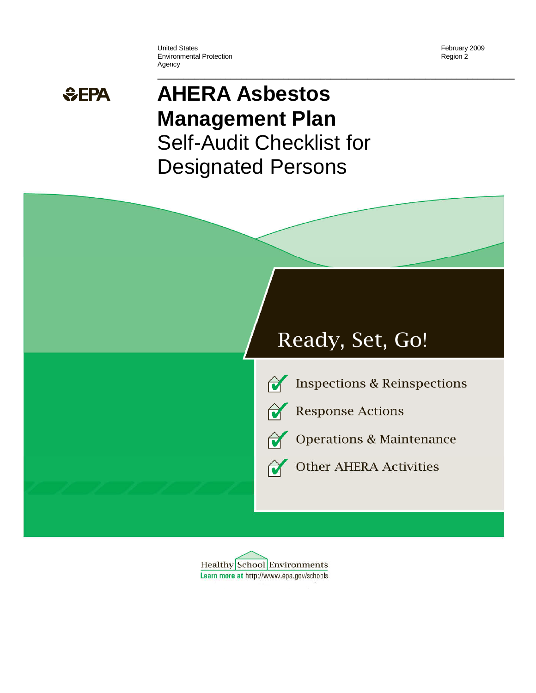United States **February 2009** Environmental Protection **Environmental Protection Region 2** Agency

# **AHERA Asbestos Management Plan**  Self-Audit Checklist for Designated Persons

**\_\_\_\_\_\_\_\_\_\_\_\_\_\_\_\_\_\_\_\_\_\_\_\_\_\_\_\_\_\_\_\_\_\_\_\_\_\_\_\_\_\_\_\_\_\_\_\_\_\_\_\_\_\_\_\_\_\_\_\_\_\_\_\_\_\_\_\_** 





**Inspections & Reinspections** 







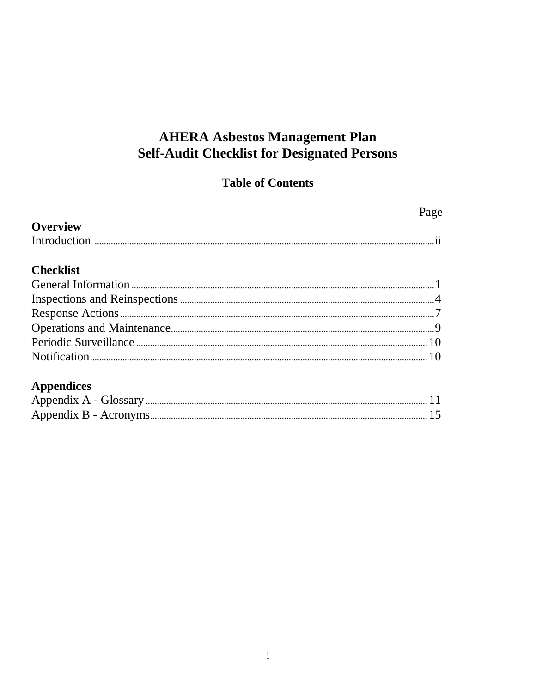# **AHERA Asbestos Management Plan Self-Audit Checklist for Designated Persons**

#### **Table of Contents**

|                   | Page |
|-------------------|------|
| <b>Overview</b>   |      |
|                   |      |
| <b>Checklist</b>  |      |
|                   |      |
|                   |      |
|                   |      |
|                   |      |
|                   |      |
|                   |      |
| <b>Appendices</b> |      |
|                   |      |
|                   |      |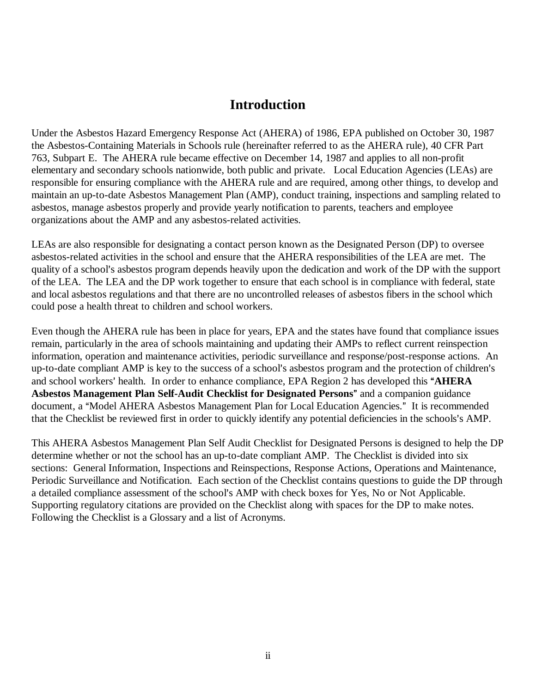#### **Introduction**

Under the Asbestos Hazard Emergency Response Act (AHERA) of 1986, EPA published on October 30, 1987 the Asbestos-Containing Materials in Schools rule (hereinafter referred to as the AHERA rule), 40 CFR Part 763, Subpart E. The AHERA rule became effective on December 14, 1987 and applies to all non-profit elementary and secondary schools nationwide, both public and private. Local Education Agencies (LEAs) are responsible for ensuring compliance with the AHERA rule and are required, among other things, to develop and maintain an up-to-date Asbestos Management Plan (AMP), conduct training, inspections and sampling related to asbestos, manage asbestos properly and provide yearly notification to parents, teachers and employee organizations about the AMP and any asbestos-related activities.

LEAs are also responsible for designating a contact person known as the Designated Person (DP) to oversee asbestos-related activities in the school and ensure that the AHERA responsibilities of the LEA are met. The quality of a school's asbestos program depends heavily upon the dedication and work of the DP with the support of the LEA. The LEA and the DP work together to ensure that each school is in compliance with federal, state and local asbestos regulations and that there are no uncontrolled releases of asbestos fibers in the school which could pose a health threat to children and school workers.

Even though the AHERA rule has been in place for years, EPA and the states have found that compliance issues remain, particularly in the area of schools maintaining and updating their AMPs to reflect current reinspection information, operation and maintenance activities, periodic surveillance and response/post-response actions. An up-to-date compliant AMP is key to the success of a school's asbestos program and the protection of children's and school workers' health. In order to enhance compliance, EPA Region 2 has developed this "AHERA" Asbestos Management Plan Self-Audit Checklist for Designated Persons" and a companion guidance document, a "Model AHERA Asbestos Management Plan for Local Education Agencies." It is recommended that the Checklist be reviewed first in order to quickly identify any potential deficiencies in the schools's AMP.

This AHERA Asbestos Management Plan Self Audit Checklist for Designated Persons is designed to help the DP determine whether or not the school has an up-to-date compliant AMP. The Checklist is divided into six sections: General Information, Inspections and Reinspections, Response Actions, Operations and Maintenance, Periodic Surveillance and Notification. Each section of the Checklist contains questions to guide the DP through a detailed compliance assessment of the school's AMP with check boxes for Yes, No or Not Applicable. Supporting regulatory citations are provided on the Checklist along with spaces for the DP to make notes. Following the Checklist is a Glossary and a list of Acronyms.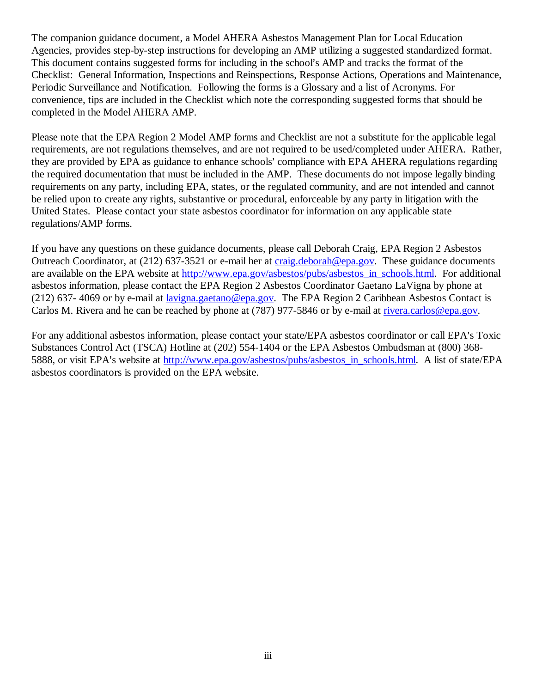The companion guidance document, a Model AHERA Asbestos Management Plan for Local Education Agencies, provides step-by-step instructions for developing an AMP utilizing a suggested standardized format. This document contains suggested forms for including in the school's AMP and tracks the format of the Checklist: General Information, Inspections and Reinspections, Response Actions, Operations and Maintenance, Periodic Surveillance and Notification. Following the forms is a Glossary and a list of Acronyms. For convenience, tips are included in the Checklist which note the corresponding suggested forms that should be completed in the Model AHERA AMP.

Please note that the EPA Region 2 Model AMP forms and Checklist are not a substitute for the applicable legal requirements, are not regulations themselves, and are not required to be used/completed under AHERA. Rather, they are provided by EPA as guidance to enhance schools' compliance with EPA AHERA regulations regarding the required documentation that must be included in the AMP. These documents do not impose legally binding requirements on any party, including EPA, states, or the regulated community, and are not intended and cannot be relied upon to create any rights, substantive or procedural, enforceable by any party in litigation with the United States. Please contact your state asbestos coordinator for information on any applicable state regulations/AMP forms.

If you have any questions on these guidance documents, please call Deborah Craig, EPA Region 2 Asbestos Outreach Coordinator, at (212) 637-3521 or e-mail her at craig.deborah@epa.gov. These guidance documents are available on the EPA website at http://www.epa.gov/asbestos/pubs/asbestos\_in\_schools.html. For additional asbestos information, please contact the EPA Region 2 Asbestos Coordinator Gaetano LaVigna by phone at (212) 637- 4069 or by e-mail at lavigna.gaetano@epa.gov. The EPA Region 2 Caribbean Asbestos Contact is Carlos M. Rivera and he can be reached by phone at (787) 977-5846 or by e-mail at rivera.carlos@epa.gov.

For any additional asbestos information, please contact your state/EPA asbestos coordinator or call EPA's Toxic Substances Control Act (TSCA) Hotline at (202) 554-1404 or the EPA Asbestos Ombudsman at (800) 368- 5888, or visit EPA's website at http://www.epa.gov/asbestos/pubs/asbestos\_in\_schools.html. A list of state/EPA asbestos coordinators is provided on the EPA website.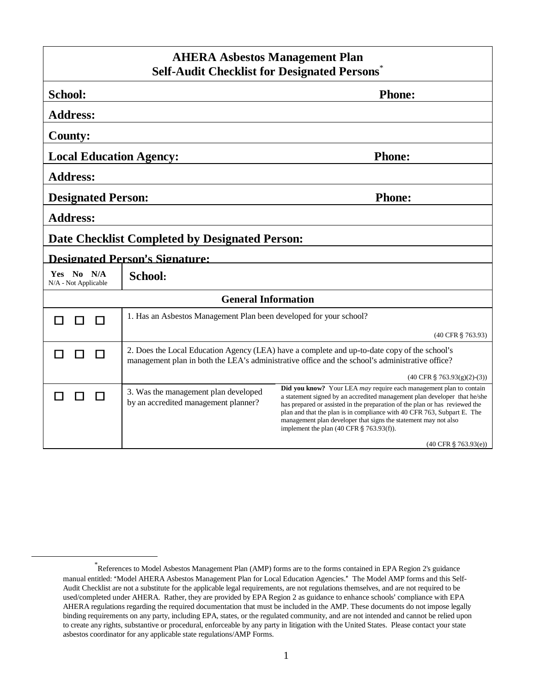| <b>AHERA Asbestos Management Plan</b><br><b>Self-Audit Checklist for Designated Persons</b> |                                                                                                                                                                                                 |                                                                                                                                                                                                                                                                                                                                                                                                                                                                               |
|---------------------------------------------------------------------------------------------|-------------------------------------------------------------------------------------------------------------------------------------------------------------------------------------------------|-------------------------------------------------------------------------------------------------------------------------------------------------------------------------------------------------------------------------------------------------------------------------------------------------------------------------------------------------------------------------------------------------------------------------------------------------------------------------------|
|                                                                                             |                                                                                                                                                                                                 |                                                                                                                                                                                                                                                                                                                                                                                                                                                                               |
| School:                                                                                     |                                                                                                                                                                                                 | <b>Phone:</b>                                                                                                                                                                                                                                                                                                                                                                                                                                                                 |
| <b>Address:</b>                                                                             |                                                                                                                                                                                                 |                                                                                                                                                                                                                                                                                                                                                                                                                                                                               |
| <b>County:</b>                                                                              |                                                                                                                                                                                                 |                                                                                                                                                                                                                                                                                                                                                                                                                                                                               |
| <b>Local Education Agency:</b>                                                              |                                                                                                                                                                                                 | <b>Phone:</b>                                                                                                                                                                                                                                                                                                                                                                                                                                                                 |
| <b>Address:</b>                                                                             |                                                                                                                                                                                                 |                                                                                                                                                                                                                                                                                                                                                                                                                                                                               |
| <b>Designated Person:</b>                                                                   |                                                                                                                                                                                                 | <b>Phone:</b>                                                                                                                                                                                                                                                                                                                                                                                                                                                                 |
| <b>Address:</b>                                                                             |                                                                                                                                                                                                 |                                                                                                                                                                                                                                                                                                                                                                                                                                                                               |
| Date Checklist Completed by Designated Person:                                              |                                                                                                                                                                                                 |                                                                                                                                                                                                                                                                                                                                                                                                                                                                               |
| <b>Designated Person's Signature:</b>                                                       |                                                                                                                                                                                                 |                                                                                                                                                                                                                                                                                                                                                                                                                                                                               |
| Yes No N/A<br>N/A - Not Applicable                                                          | <b>School:</b>                                                                                                                                                                                  |                                                                                                                                                                                                                                                                                                                                                                                                                                                                               |
| <b>General Information</b>                                                                  |                                                                                                                                                                                                 |                                                                                                                                                                                                                                                                                                                                                                                                                                                                               |
|                                                                                             | 1. Has an Asbestos Management Plan been developed for your school?                                                                                                                              |                                                                                                                                                                                                                                                                                                                                                                                                                                                                               |
|                                                                                             |                                                                                                                                                                                                 | (40 CFR § 763.93)                                                                                                                                                                                                                                                                                                                                                                                                                                                             |
|                                                                                             | 2. Does the Local Education Agency (LEA) have a complete and up-to-date copy of the school's<br>management plan in both the LEA's administrative office and the school's administrative office? |                                                                                                                                                                                                                                                                                                                                                                                                                                                                               |
|                                                                                             |                                                                                                                                                                                                 | $(40 \text{ CFR } $763.93(g)(2)-(3))$                                                                                                                                                                                                                                                                                                                                                                                                                                         |
|                                                                                             | 3. Was the management plan developed<br>by an accredited management planner?                                                                                                                    | <b>Did you know?</b> Your LEA <i>may</i> require each management plan to contain<br>a statement signed by an accredited management plan developer that he/she<br>has prepared or assisted in the preparation of the plan or has reviewed the<br>plan and that the plan is in compliance with 40 CFR 763, Subpart E. The<br>management plan developer that signs the statement may not also<br>implement the plan $(40 \text{ CFR} \text{ } \frac{6}{3} \text{ } 763.93(f))$ . |
|                                                                                             |                                                                                                                                                                                                 | $(40 \text{ CFR} \text{ } \frac{6}{5} \text{ } 763.93(e))$                                                                                                                                                                                                                                                                                                                                                                                                                    |

<u>.</u>

<sup>\*</sup> References to Model Asbestos Management Plan (AMP) forms are to the forms contained in EPA Region 2's guidance manual entitled: "Model AHERA Asbestos Management Plan for Local Education Agencies." The Model AMP forms and this Self-Audit Checklist are not a substitute for the applicable legal requirements, are not regulations themselves, and are not required to be used/completed under AHERA. Rather, they are provided by EPA Region 2 as guidance to enhance schools' compliance with EPA AHERA regulations regarding the required documentation that must be included in the AMP. These documents do not impose legally binding requirements on any party, including EPA, states, or the regulated community, and are not intended and cannot be relied upon to create any rights, substantive or procedural, enforceable by any party in litigation with the United States. Please contact your state asbestos coordinator for any applicable state regulations/AMP Forms.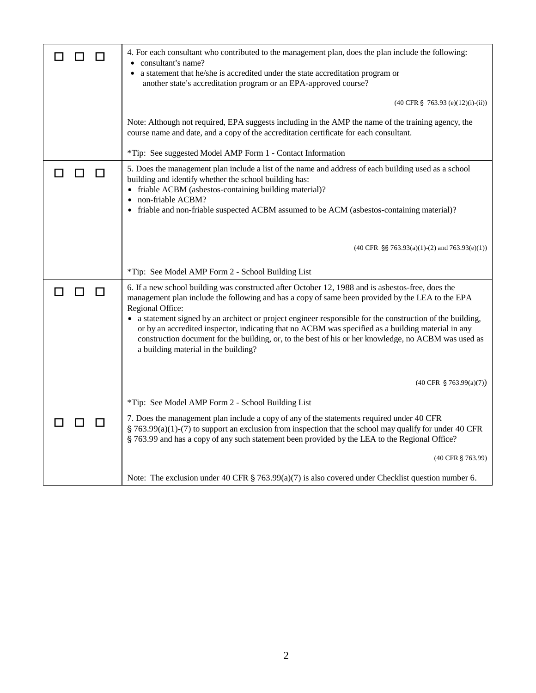|                             | 4. For each consultant who contributed to the management plan, does the plan include the following:<br>• consultant's name?<br>• a statement that he/she is accredited under the state accreditation program or<br>another state's accreditation program or an EPA-approved course?                                                                                                                                                                                                                                                                                                           |
|-----------------------------|-----------------------------------------------------------------------------------------------------------------------------------------------------------------------------------------------------------------------------------------------------------------------------------------------------------------------------------------------------------------------------------------------------------------------------------------------------------------------------------------------------------------------------------------------------------------------------------------------|
|                             | $(40 \text{ CFR } \S$ 763.93 (e)(12)(i)-(ii))                                                                                                                                                                                                                                                                                                                                                                                                                                                                                                                                                 |
|                             | Note: Although not required, EPA suggests including in the AMP the name of the training agency, the<br>course name and date, and a copy of the accreditation certificate for each consultant.                                                                                                                                                                                                                                                                                                                                                                                                 |
|                             | *Tip: See suggested Model AMP Form 1 - Contact Information                                                                                                                                                                                                                                                                                                                                                                                                                                                                                                                                    |
| П                           | 5. Does the management plan include a list of the name and address of each building used as a school<br>building and identify whether the school building has:<br>• friable ACBM (asbestos-containing building material)?<br>non-friable ACBM?                                                                                                                                                                                                                                                                                                                                                |
|                             | • friable and non-friable suspected ACBM assumed to be ACM (asbestos-containing material)?                                                                                                                                                                                                                                                                                                                                                                                                                                                                                                    |
|                             | $(40 \text{ CFR } \S\$ 763.93(a)(1)-(2) and 763.93(e)(1))                                                                                                                                                                                                                                                                                                                                                                                                                                                                                                                                     |
|                             | *Tip: See Model AMP Form 2 - School Building List                                                                                                                                                                                                                                                                                                                                                                                                                                                                                                                                             |
| $\Box$<br>ΙI                | 6. If a new school building was constructed after October 12, 1988 and is asbestos-free, does the<br>management plan include the following and has a copy of same been provided by the LEA to the EPA<br>Regional Office:<br>• a statement signed by an architect or project engineer responsible for the construction of the building,<br>or by an accredited inspector, indicating that no ACBM was specified as a building material in any<br>construction document for the building, or, to the best of his or her knowledge, no ACBM was used as<br>a building material in the building? |
|                             |                                                                                                                                                                                                                                                                                                                                                                                                                                                                                                                                                                                               |
|                             | $(40 \text{ CFR } \S$ 763.99(a)(7))                                                                                                                                                                                                                                                                                                                                                                                                                                                                                                                                                           |
|                             | *Tip: See Model AMP Form 2 - School Building List                                                                                                                                                                                                                                                                                                                                                                                                                                                                                                                                             |
| $\Box$<br>П<br>$\mathbf{I}$ | 7. Does the management plan include a copy of any of the statements required under 40 CFR<br>$\S$ 763.99(a)(1)-(7) to support an exclusion from inspection that the school may qualify for under 40 CFR<br>§ 763.99 and has a copy of any such statement been provided by the LEA to the Regional Office?                                                                                                                                                                                                                                                                                     |
|                             | (40 CFR § 763.99)                                                                                                                                                                                                                                                                                                                                                                                                                                                                                                                                                                             |
|                             | Note: The exclusion under 40 CFR $\S$ 763.99(a)(7) is also covered under Checklist question number 6.                                                                                                                                                                                                                                                                                                                                                                                                                                                                                         |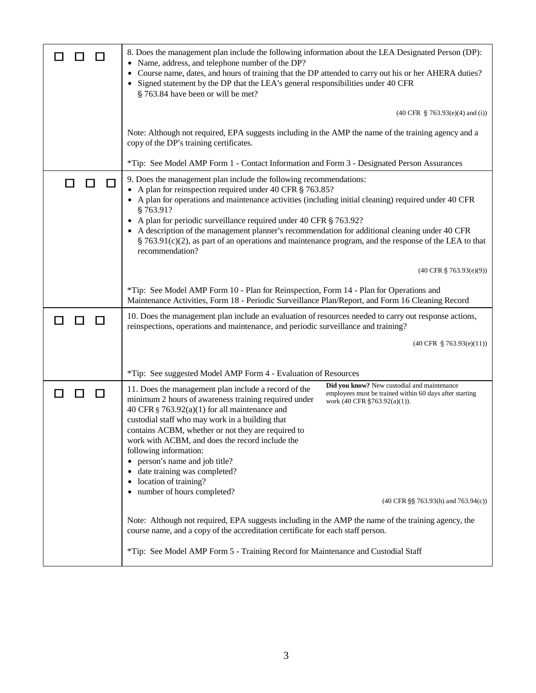|   | 8. Does the management plan include the following information about the LEA Designated Person (DP):                                                                                                                                                                                                                                                                                                                                                                                                                                                                                                                    |
|---|------------------------------------------------------------------------------------------------------------------------------------------------------------------------------------------------------------------------------------------------------------------------------------------------------------------------------------------------------------------------------------------------------------------------------------------------------------------------------------------------------------------------------------------------------------------------------------------------------------------------|
|   | Name, address, and telephone number of the DP?<br>$\bullet$<br>Course name, dates, and hours of training that the DP attended to carry out his or her AHERA duties?<br>Signed statement by the DP that the LEA's general responsibilities under 40 CFR<br>§ 763.84 have been or will be met?                                                                                                                                                                                                                                                                                                                           |
|   | $(40 \text{ CFR } \S$ 763.93(e)(4) and (i))                                                                                                                                                                                                                                                                                                                                                                                                                                                                                                                                                                            |
|   | Note: Although not required, EPA suggests including in the AMP the name of the training agency and a<br>copy of the DP's training certificates.                                                                                                                                                                                                                                                                                                                                                                                                                                                                        |
|   | *Tip: See Model AMP Form 1 - Contact Information and Form 3 - Designated Person Assurances                                                                                                                                                                                                                                                                                                                                                                                                                                                                                                                             |
|   | 9. Does the management plan include the following recommendations:<br>A plan for reinspection required under 40 CFR § 763.85?<br>A plan for operations and maintenance activities (including initial cleaning) required under 40 CFR<br>§763.91?<br>A plan for periodic surveillance required under 40 CFR § 763.92?<br>A description of the management planner's recommendation for additional cleaning under 40 CFR<br>$\S$ 763.91(c)(2), as part of an operations and maintenance program, and the response of the LEA to that<br>recommendation?                                                                   |
|   | $(40 \text{ CFR } \S$ 763.93(e)(9))                                                                                                                                                                                                                                                                                                                                                                                                                                                                                                                                                                                    |
|   | *Tip: See Model AMP Form 10 - Plan for Reinspection, Form 14 - Plan for Operations and<br>Maintenance Activities, Form 18 - Periodic Surveillance Plan/Report, and Form 16 Cleaning Record                                                                                                                                                                                                                                                                                                                                                                                                                             |
| П | 10. Does the management plan include an evaluation of resources needed to carry out response actions,<br>reinspections, operations and maintenance, and periodic surveillance and training?                                                                                                                                                                                                                                                                                                                                                                                                                            |
|   | $(40 \text{ CFR } \S$ 763.93(e)(11))                                                                                                                                                                                                                                                                                                                                                                                                                                                                                                                                                                                   |
|   | *Tip: See suggested Model AMP Form 4 - Evaluation of Resources                                                                                                                                                                                                                                                                                                                                                                                                                                                                                                                                                         |
|   | Did you know? New custodial and maintenance<br>11. Does the management plan include a record of the<br>employees must be trained within 60 days after starting<br>minimum 2 hours of awareness training required under<br>work (40 CFR §763.92(a)(1)).<br>40 CFR § $763.92(a)(1)$ for all maintenance and<br>custodial staff who may work in a building that<br>contains ACBM, whether or not they are required to<br>work with ACBM, and does the record include the<br>following information:<br>person's name and job title?<br>date training was completed?<br>location of training?<br>number of hours completed? |
|   | $(40 \text{ CFR} \$ § 763.93(h) and 763.94(c))                                                                                                                                                                                                                                                                                                                                                                                                                                                                                                                                                                         |
|   | Note: Although not required, EPA suggests including in the AMP the name of the training agency, the<br>course name, and a copy of the accreditation certificate for each staff person.                                                                                                                                                                                                                                                                                                                                                                                                                                 |
|   | *Tip: See Model AMP Form 5 - Training Record for Maintenance and Custodial Staff                                                                                                                                                                                                                                                                                                                                                                                                                                                                                                                                       |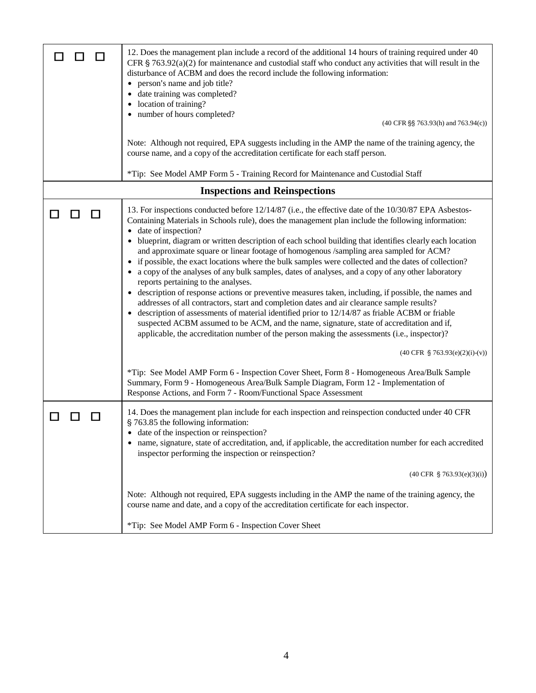| 12. Does the management plan include a record of the additional 14 hours of training required under 40<br>CFR $\S$ 763.92(a)(2) for maintenance and custodial staff who conduct any activities that will result in the<br>disturbance of ACBM and does the record include the following information:<br>person's name and job title?<br>date training was completed?<br>location of training?<br>number of hours completed?<br>(40 CFR §§ 763.93(h) and 763.94(c))<br>Note: Although not required, EPA suggests including in the AMP the name of the training agency, the<br>course name, and a copy of the accreditation certificate for each staff person.<br>*Tip: See Model AMP Form 5 - Training Record for Maintenance and Custodial Staff                                                                                                                                                                                                                                                                                                                                                                                                                                                                                                                                                                                                                                                                                                                                                                    |
|---------------------------------------------------------------------------------------------------------------------------------------------------------------------------------------------------------------------------------------------------------------------------------------------------------------------------------------------------------------------------------------------------------------------------------------------------------------------------------------------------------------------------------------------------------------------------------------------------------------------------------------------------------------------------------------------------------------------------------------------------------------------------------------------------------------------------------------------------------------------------------------------------------------------------------------------------------------------------------------------------------------------------------------------------------------------------------------------------------------------------------------------------------------------------------------------------------------------------------------------------------------------------------------------------------------------------------------------------------------------------------------------------------------------------------------------------------------------------------------------------------------------|
| <b>Inspections and Reinspections</b>                                                                                                                                                                                                                                                                                                                                                                                                                                                                                                                                                                                                                                                                                                                                                                                                                                                                                                                                                                                                                                                                                                                                                                                                                                                                                                                                                                                                                                                                                |
| 13. For inspections conducted before 12/14/87 (i.e., the effective date of the 10/30/87 EPA Asbestos-<br>Containing Materials in Schools rule), does the management plan include the following information:<br>date of inspection?<br>blueprint, diagram or written description of each school building that identifies clearly each location<br>and approximate square or linear footage of homogenous /sampling area sampled for ACM?<br>if possible, the exact locations where the bulk samples were collected and the dates of collection?<br>a copy of the analyses of any bulk samples, dates of analyses, and a copy of any other laboratory<br>reports pertaining to the analyses.<br>• description of response actions or preventive measures taken, including, if possible, the names and<br>addresses of all contractors, start and completion dates and air clearance sample results?<br>description of assessments of material identified prior to 12/14/87 as friable ACBM or friable<br>$\bullet$<br>suspected ACBM assumed to be ACM, and the name, signature, state of accreditation and if,<br>applicable, the accreditation number of the person making the assessments (i.e., inspector)?<br>$(40 \text{ CFR } \S$ 763.93(e)(2)(i)-(v))<br>*Tip: See Model AMP Form 6 - Inspection Cover Sheet, Form 8 - Homogeneous Area/Bulk Sample<br>Summary, Form 9 - Homogeneous Area/Bulk Sample Diagram, Form 12 - Implementation of<br>Response Actions, and Form 7 - Room/Functional Space Assessment |
| 14. Does the management plan include for each inspection and reinspection conducted under 40 CFR<br>§ 763.85 the following information:<br>date of the inspection or reinspection?<br>name, signature, state of accreditation, and, if applicable, the accreditation number for each accredited<br>٠<br>inspector performing the inspection or reinspection?                                                                                                                                                                                                                                                                                                                                                                                                                                                                                                                                                                                                                                                                                                                                                                                                                                                                                                                                                                                                                                                                                                                                                        |
| $(40 \text{ CFR } \S$ 763.93(e)(3)(i))                                                                                                                                                                                                                                                                                                                                                                                                                                                                                                                                                                                                                                                                                                                                                                                                                                                                                                                                                                                                                                                                                                                                                                                                                                                                                                                                                                                                                                                                              |
| Note: Although not required, EPA suggests including in the AMP the name of the training agency, the<br>course name and date, and a copy of the accreditation certificate for each inspector.                                                                                                                                                                                                                                                                                                                                                                                                                                                                                                                                                                                                                                                                                                                                                                                                                                                                                                                                                                                                                                                                                                                                                                                                                                                                                                                        |
| *Tip: See Model AMP Form 6 - Inspection Cover Sheet                                                                                                                                                                                                                                                                                                                                                                                                                                                                                                                                                                                                                                                                                                                                                                                                                                                                                                                                                                                                                                                                                                                                                                                                                                                                                                                                                                                                                                                                 |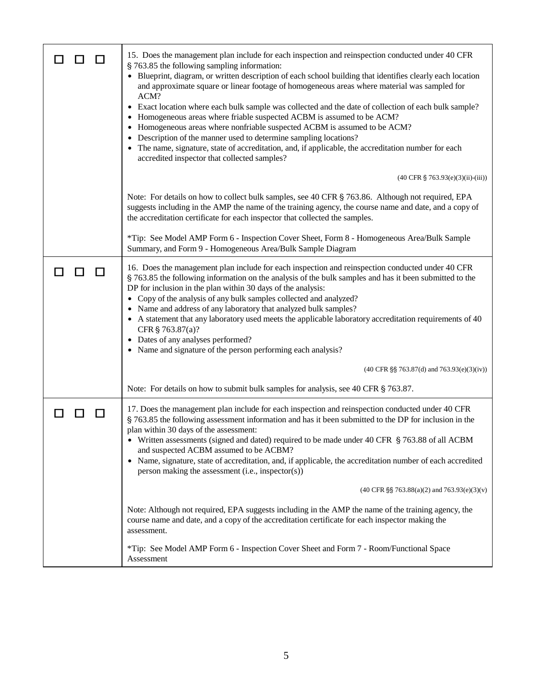| 15. Does the management plan include for each inspection and reinspection conducted under 40 CFR<br>§ 763.85 the following sampling information:<br>• Blueprint, diagram, or written description of each school building that identifies clearly each location<br>and approximate square or linear footage of homogeneous areas where material was sampled for<br>ACM?<br>• Exact location where each bulk sample was collected and the date of collection of each bulk sample?<br>Homogeneous areas where friable suspected ACBM is assumed to be ACM?<br>Homogeneous areas where nonfriable suspected ACBM is assumed to be ACM?<br>• Description of the manner used to determine sampling locations?<br>• The name, signature, state of accreditation, and, if applicable, the accreditation number for each<br>accredited inspector that collected samples?<br>$(40 \text{ CFR } \S$ 763.93(e)(3)(ii)-(iii))<br>Note: For details on how to collect bulk samples, see 40 CFR § 763.86. Although not required, EPA |
|-----------------------------------------------------------------------------------------------------------------------------------------------------------------------------------------------------------------------------------------------------------------------------------------------------------------------------------------------------------------------------------------------------------------------------------------------------------------------------------------------------------------------------------------------------------------------------------------------------------------------------------------------------------------------------------------------------------------------------------------------------------------------------------------------------------------------------------------------------------------------------------------------------------------------------------------------------------------------------------------------------------------------|
| suggests including in the AMP the name of the training agency, the course name and date, and a copy of<br>the accreditation certificate for each inspector that collected the samples.                                                                                                                                                                                                                                                                                                                                                                                                                                                                                                                                                                                                                                                                                                                                                                                                                                |
| *Tip: See Model AMP Form 6 - Inspection Cover Sheet, Form 8 - Homogeneous Area/Bulk Sample<br>Summary, and Form 9 - Homogeneous Area/Bulk Sample Diagram                                                                                                                                                                                                                                                                                                                                                                                                                                                                                                                                                                                                                                                                                                                                                                                                                                                              |
| 16. Does the management plan include for each inspection and reinspection conducted under 40 CFR<br>§ 763.85 the following information on the analysis of the bulk samples and has it been submitted to the<br>DP for inclusion in the plan within 30 days of the analysis:<br>Copy of the analysis of any bulk samples collected and analyzed?<br>• Name and address of any laboratory that analyzed bulk samples?<br>• A statement that any laboratory used meets the applicable laboratory accreditation requirements of 40<br>CFR § 763.87(a)?<br>• Dates of any analyses performed?<br>• Name and signature of the person performing each analysis?                                                                                                                                                                                                                                                                                                                                                              |
| (40 CFR §§ 763.87(d) and 763.93(e)(3)(iv))                                                                                                                                                                                                                                                                                                                                                                                                                                                                                                                                                                                                                                                                                                                                                                                                                                                                                                                                                                            |
| Note: For details on how to submit bulk samples for analysis, see 40 CFR § 763.87.                                                                                                                                                                                                                                                                                                                                                                                                                                                                                                                                                                                                                                                                                                                                                                                                                                                                                                                                    |
| 17. Does the management plan include for each inspection and reinspection conducted under 40 CFR<br>§ 763.85 the following assessment information and has it been submitted to the DP for inclusion in the<br>plan within 30 days of the assessment:<br>• Written assessments (signed and dated) required to be made under 40 CFR § 763.88 of all ACBM<br>and suspected ACBM assumed to be ACBM?<br>• Name, signature, state of accreditation, and, if applicable, the accreditation number of each accredited<br>person making the assessment (i.e., inspector(s))                                                                                                                                                                                                                                                                                                                                                                                                                                                   |
| $(40 \text{ CFR } \S \S$ 763.88(a)(2) and 763.93(e)(3)(v)                                                                                                                                                                                                                                                                                                                                                                                                                                                                                                                                                                                                                                                                                                                                                                                                                                                                                                                                                             |
| Note: Although not required, EPA suggests including in the AMP the name of the training agency, the<br>course name and date, and a copy of the accreditation certificate for each inspector making the<br>assessment.                                                                                                                                                                                                                                                                                                                                                                                                                                                                                                                                                                                                                                                                                                                                                                                                 |
| *Tip: See Model AMP Form 6 - Inspection Cover Sheet and Form 7 - Room/Functional Space<br>Assessment                                                                                                                                                                                                                                                                                                                                                                                                                                                                                                                                                                                                                                                                                                                                                                                                                                                                                                                  |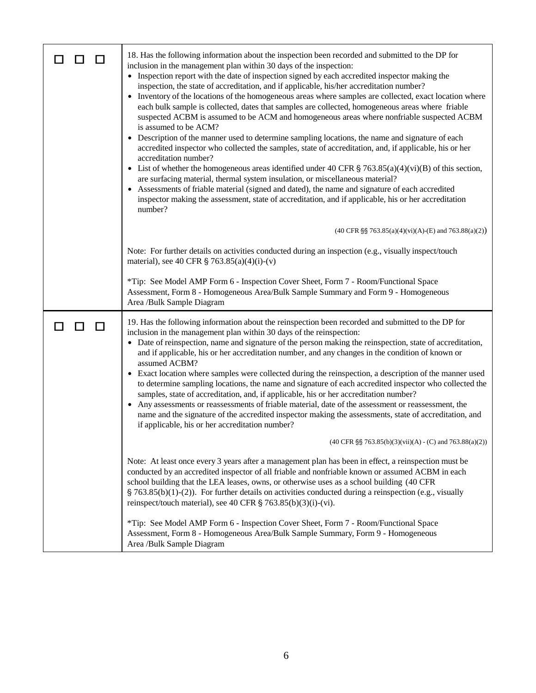| 18. Has the following information about the inspection been recorded and submitted to the DP for<br>inclusion in the management plan within 30 days of the inspection:<br>• Inspection report with the date of inspection signed by each accredited inspector making the<br>inspection, the state of accreditation, and if applicable, his/her accreditation number?<br>• Inventory of the locations of the homogeneous areas where samples are collected, exact location where<br>each bulk sample is collected, dates that samples are collected, homogeneous areas where friable<br>suspected ACBM is assumed to be ACM and homogeneous areas where nonfriable suspected ACBM<br>is assumed to be ACM?<br>• Description of the manner used to determine sampling locations, the name and signature of each<br>accredited inspector who collected the samples, state of accreditation, and, if applicable, his or her<br>accreditation number?<br>• List of whether the homogeneous areas identified under 40 CFR $\S$ 763.85(a)(4)(vi)(B) of this section,<br>are surfacing material, thermal system insulation, or miscellaneous material?<br>• Assessments of friable material (signed and dated), the name and signature of each accredited<br>inspector making the assessment, state of accreditation, and if applicable, his or her accreditation<br>number?<br>$(40 \text{ CFR } \S \S$ 763.85(a)(4)(vi)(A)-(E) and 763.88(a)(2)) |
|--------------------------------------------------------------------------------------------------------------------------------------------------------------------------------------------------------------------------------------------------------------------------------------------------------------------------------------------------------------------------------------------------------------------------------------------------------------------------------------------------------------------------------------------------------------------------------------------------------------------------------------------------------------------------------------------------------------------------------------------------------------------------------------------------------------------------------------------------------------------------------------------------------------------------------------------------------------------------------------------------------------------------------------------------------------------------------------------------------------------------------------------------------------------------------------------------------------------------------------------------------------------------------------------------------------------------------------------------------------------------------------------------------------------------------------------|
| Note: For further details on activities conducted during an inspection (e.g., visually inspect/touch                                                                                                                                                                                                                                                                                                                                                                                                                                                                                                                                                                                                                                                                                                                                                                                                                                                                                                                                                                                                                                                                                                                                                                                                                                                                                                                                       |
| material), see 40 CFR $\S$ 763.85(a)(4)(i)-(v)                                                                                                                                                                                                                                                                                                                                                                                                                                                                                                                                                                                                                                                                                                                                                                                                                                                                                                                                                                                                                                                                                                                                                                                                                                                                                                                                                                                             |
| *Tip: See Model AMP Form 6 - Inspection Cover Sheet, Form 7 - Room/Functional Space<br>Assessment, Form 8 - Homogeneous Area/Bulk Sample Summary and Form 9 - Homogeneous<br>Area /Bulk Sample Diagram                                                                                                                                                                                                                                                                                                                                                                                                                                                                                                                                                                                                                                                                                                                                                                                                                                                                                                                                                                                                                                                                                                                                                                                                                                     |
| 19. Has the following information about the reinspection been recorded and submitted to the DP for<br>inclusion in the management plan within 30 days of the reinspection:<br>• Date of reinspection, name and signature of the person making the reinspection, state of accreditation,<br>and if applicable, his or her accreditation number, and any changes in the condition of known or<br>assumed ACBM?<br>• Exact location where samples were collected during the reinspection, a description of the manner used<br>to determine sampling locations, the name and signature of each accredited inspector who collected the<br>samples, state of accreditation, and, if applicable, his or her accreditation number?<br>• Any assessments or reassessments of friable material, date of the assessment or reassessment, the<br>name and the signature of the accredited inspector making the assessments, state of accreditation, and<br>if applicable, his or her accreditation number?                                                                                                                                                                                                                                                                                                                                                                                                                                             |
| $(40 \text{ CFR } \S\$ 763.85(b)(3)(vii)(A) - (C) and 763.88(a)(2))                                                                                                                                                                                                                                                                                                                                                                                                                                                                                                                                                                                                                                                                                                                                                                                                                                                                                                                                                                                                                                                                                                                                                                                                                                                                                                                                                                        |
| Note: At least once every 3 years after a management plan has been in effect, a reinspection must be<br>conducted by an accredited inspector of all friable and nonfriable known or assumed ACBM in each<br>school building that the LEA leases, owns, or otherwise uses as a school building (40 CFR<br>$\S$ 763.85(b)(1)-(2)). For further details on activities conducted during a reinspection (e.g., visually<br>reinspect/touch material), see 40 CFR § 763.85(b)(3)(i)-(vi).                                                                                                                                                                                                                                                                                                                                                                                                                                                                                                                                                                                                                                                                                                                                                                                                                                                                                                                                                        |
| *Tip: See Model AMP Form 6 - Inspection Cover Sheet, Form 7 - Room/Functional Space<br>Assessment, Form 8 - Homogeneous Area/Bulk Sample Summary, Form 9 - Homogeneous<br>Area /Bulk Sample Diagram                                                                                                                                                                                                                                                                                                                                                                                                                                                                                                                                                                                                                                                                                                                                                                                                                                                                                                                                                                                                                                                                                                                                                                                                                                        |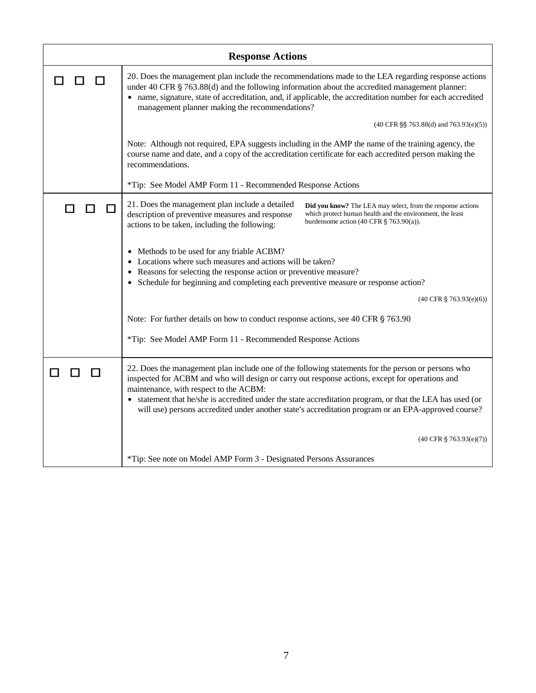| <b>Response Actions</b> |                                                                                                                                                                                                                                                                                                                                                                                                                                                                     |
|-------------------------|---------------------------------------------------------------------------------------------------------------------------------------------------------------------------------------------------------------------------------------------------------------------------------------------------------------------------------------------------------------------------------------------------------------------------------------------------------------------|
|                         | 20. Does the management plan include the recommendations made to the LEA regarding response actions<br>under 40 CFR $\S$ 763.88(d) and the following information about the accredited management planner:<br>• name, signature, state of accreditation, and, if applicable, the accreditation number for each accredited<br>management planner making the recommendations?                                                                                          |
|                         | $(40 \text{ CFR } \S \S$ 763.88(d) and 763.93(e)(5))                                                                                                                                                                                                                                                                                                                                                                                                                |
|                         | Note: Although not required, EPA suggests including in the AMP the name of the training agency, the<br>course name and date, and a copy of the accreditation certificate for each accredited person making the<br>recommendations.                                                                                                                                                                                                                                  |
|                         | *Tip: See Model AMP Form 11 - Recommended Response Actions                                                                                                                                                                                                                                                                                                                                                                                                          |
| □<br>$\Box$             | 21. Does the management plan include a detailed<br>Did you know? The LEA may select, from the response actions<br>description of preventive measures and response<br>which protect human health and the environment, the least<br>burdensome action $(40 \text{ CFR } \S$ 763.90(a)).<br>actions to be taken, including the following:                                                                                                                              |
|                         | • Methods to be used for any friable ACBM?<br>• Locations where such measures and actions will be taken?<br>• Reasons for selecting the response action or preventive measure?<br>• Schedule for beginning and completing each preventive measure or response action?                                                                                                                                                                                               |
|                         | $(40 \text{ CFR } \S$ 763.93(e)(6))                                                                                                                                                                                                                                                                                                                                                                                                                                 |
|                         | Note: For further details on how to conduct response actions, see 40 CFR § 763.90                                                                                                                                                                                                                                                                                                                                                                                   |
|                         | *Tip: See Model AMP Form 11 - Recommended Response Actions                                                                                                                                                                                                                                                                                                                                                                                                          |
|                         | 22. Does the management plan include one of the following statements for the person or persons who<br>inspected for ACBM and who will design or carry out response actions, except for operations and<br>maintenance, with respect to the ACBM:<br>• statement that he/she is accredited under the state accreditation program, or that the LEA has used (or<br>will use) persons accredited under another state's accreditation program or an EPA-approved course? |
|                         | $(40 \text{ CFR} \text{ } \frac{6}{5} \text{ } 763.93 \text{ } (e)(7))$                                                                                                                                                                                                                                                                                                                                                                                             |
|                         | *Tip: See note on Model AMP Form 3 - Designated Persons Assurances                                                                                                                                                                                                                                                                                                                                                                                                  |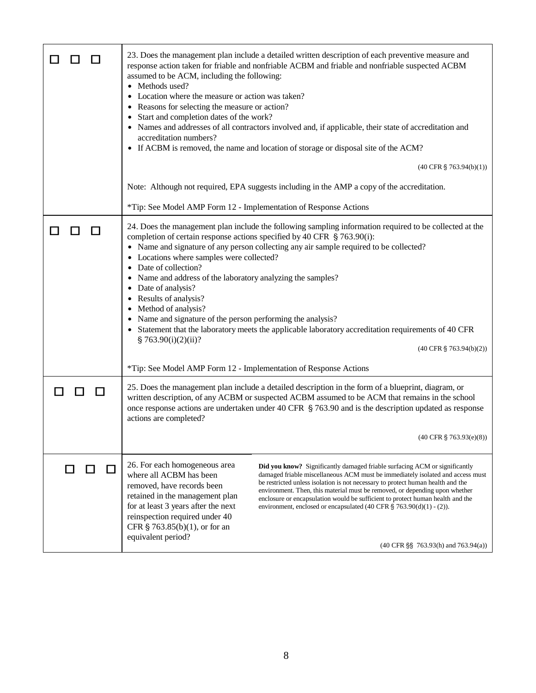|          | 23. Does the management plan include a detailed written description of each preventive measure and<br>response action taken for friable and nonfriable ACBM and friable and nonfriable suspected ACBM<br>assumed to be ACM, including the following:<br>• Methods used?<br>• Location where the measure or action was taken?<br>• Reasons for selecting the measure or action?<br>Start and completion dates of the work?<br>• Names and addresses of all contractors involved and, if applicable, their state of accreditation and<br>accreditation numbers?<br>• If ACBM is removed, the name and location of storage or disposal site of the ACM?<br>$(40 \text{ CFR } \S$ 763.94(b)(1))                                                                                                              |
|----------|----------------------------------------------------------------------------------------------------------------------------------------------------------------------------------------------------------------------------------------------------------------------------------------------------------------------------------------------------------------------------------------------------------------------------------------------------------------------------------------------------------------------------------------------------------------------------------------------------------------------------------------------------------------------------------------------------------------------------------------------------------------------------------------------------------|
|          | Note: Although not required, EPA suggests including in the AMP a copy of the accreditation.                                                                                                                                                                                                                                                                                                                                                                                                                                                                                                                                                                                                                                                                                                              |
|          | *Tip: See Model AMP Form 12 - Implementation of Response Actions                                                                                                                                                                                                                                                                                                                                                                                                                                                                                                                                                                                                                                                                                                                                         |
| l 1<br>Ш | 24. Does the management plan include the following sampling information required to be collected at the<br>completion of certain response actions specified by 40 CFR § 763.90(i):<br>• Name and signature of any person collecting any air sample required to be collected?<br>Locations where samples were collected?<br>Date of collection?<br>Name and address of the laboratory analyzing the samples?<br>Date of analysis?<br>• Results of analysis?<br>• Method of analysis?<br>• Name and signature of the person performing the analysis?<br>• Statement that the laboratory meets the applicable laboratory accreditation requirements of 40 CFR<br>§ 763.90(i)(2)(ii)?<br>$(40 \text{ CFR } \S$ 763.94(b)(2))<br>*Tip: See Model AMP Form 12 - Implementation of Response Actions             |
|          |                                                                                                                                                                                                                                                                                                                                                                                                                                                                                                                                                                                                                                                                                                                                                                                                          |
|          | 25. Does the management plan include a detailed description in the form of a blueprint, diagram, or<br>written description, of any ACBM or suspected ACBM assumed to be ACM that remains in the school<br>once response actions are undertaken under 40 CFR § 763.90 and is the description updated as response<br>actions are completed?                                                                                                                                                                                                                                                                                                                                                                                                                                                                |
|          | $(40 \text{ CFR } \S$ 763.93(e)(8))                                                                                                                                                                                                                                                                                                                                                                                                                                                                                                                                                                                                                                                                                                                                                                      |
|          | 26. For each homogeneous area<br>Did you know? Significantly damaged friable surfacing ACM or significantly<br>where all ACBM has been<br>damaged friable miscellaneous ACM must be immediately isolated and access must<br>be restricted unless isolation is not necessary to protect human health and the<br>removed, have records been<br>environment. Then, this material must be removed, or depending upon whether<br>retained in the management plan<br>enclosure or encapsulation would be sufficient to protect human health and the<br>for at least 3 years after the next<br>environment, enclosed or encapsulated $(40 \text{ CFR } \S$ 763.90(d)(1) - (2)).<br>reinspection required under 40<br>CFR § 763.85(b)(1), or for an<br>equivalent period?<br>(40 CFR §§ 763.93(h) and 763.94(a)) |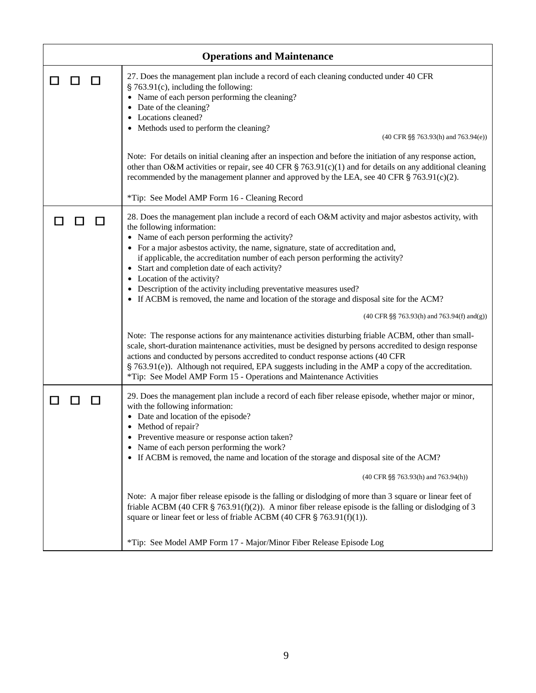|     | <b>Operations and Maintenance</b>                                                                                                                                                                                                                                                                                                                                                                                                                                                                                                                                                                          |
|-----|------------------------------------------------------------------------------------------------------------------------------------------------------------------------------------------------------------------------------------------------------------------------------------------------------------------------------------------------------------------------------------------------------------------------------------------------------------------------------------------------------------------------------------------------------------------------------------------------------------|
| l l | 27. Does the management plan include a record of each cleaning conducted under 40 CFR<br>§ 763.91(c), including the following:<br>• Name of each person performing the cleaning?<br>Date of the cleaning?<br>Locations cleaned?<br>Methods used to perform the cleaning?<br>(40 CFR §§ 763.93(h) and 763.94(e))                                                                                                                                                                                                                                                                                            |
|     |                                                                                                                                                                                                                                                                                                                                                                                                                                                                                                                                                                                                            |
|     | Note: For details on initial cleaning after an inspection and before the initiation of any response action,<br>other than O&M activities or repair, see 40 CFR § 763.91(c)(1) and for details on any additional cleaning<br>recommended by the management planner and approved by the LEA, see 40 CFR $\S$ 763.91(c)(2).                                                                                                                                                                                                                                                                                   |
|     | *Tip: See Model AMP Form 16 - Cleaning Record                                                                                                                                                                                                                                                                                                                                                                                                                                                                                                                                                              |
|     | 28. Does the management plan include a record of each O&M activity and major asbestos activity, with<br>the following information:<br>• Name of each person performing the activity?<br>For a major asbestos activity, the name, signature, state of accreditation and,<br>if applicable, the accreditation number of each person performing the activity?<br>Start and completion date of each activity?<br>• Location of the activity?<br>Description of the activity including preventative measures used?<br>• If ACBM is removed, the name and location of the storage and disposal site for the ACM? |
|     | $(40 \text{ CFR } \S \S$ 763.93(h) and 763.94(f) and(g))                                                                                                                                                                                                                                                                                                                                                                                                                                                                                                                                                   |
|     | Note: The response actions for any maintenance activities disturbing friable ACBM, other than small-<br>scale, short-duration maintenance activities, must be designed by persons accredited to design response<br>actions and conducted by persons accredited to conduct response actions (40 CFR<br>§ 763.91(e)). Although not required, EPA suggests including in the AMP a copy of the accreditation.<br>*Tip: See Model AMP Form 15 - Operations and Maintenance Activities                                                                                                                           |
|     | 29. Does the management plan include a record of each fiber release episode, whether major or minor,<br>with the following information:<br>• Date and location of the episode?<br>Method of repair?<br>Preventive measure or response action taken?<br>Name of each person performing the work?<br>• If ACBM is removed, the name and location of the storage and disposal site of the ACM?<br>(40 CFR §§ 763.93(h) and 763.94(h))                                                                                                                                                                         |
|     | Note: A major fiber release episode is the falling or dislodging of more than 3 square or linear feet of<br>friable ACBM (40 CFR § 763.91(f)(2)). A minor fiber release episode is the falling or dislodging of 3<br>square or linear feet or less of friable ACBM (40 CFR $\S$ 763.91(f)(1)).                                                                                                                                                                                                                                                                                                             |
|     | *Tip: See Model AMP Form 17 - Major/Minor Fiber Release Episode Log                                                                                                                                                                                                                                                                                                                                                                                                                                                                                                                                        |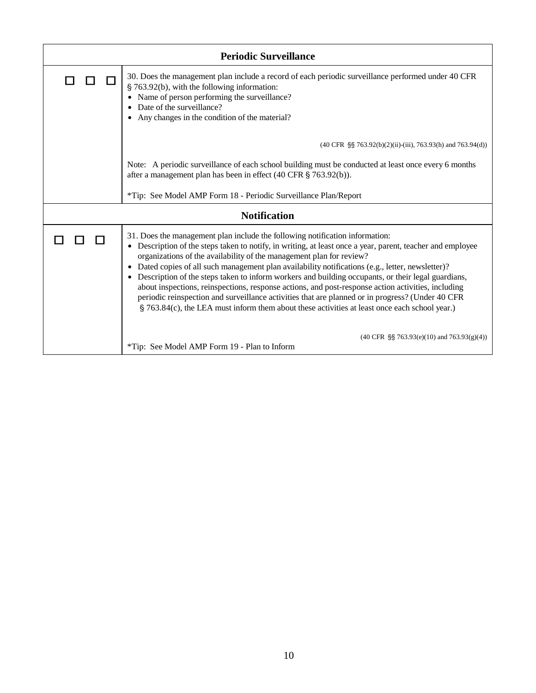| <b>Periodic Surveillance</b> |                                                                                                                                                                                                                                                                                                                                                                                                                                                                                                                                                                                                                                                                                                                                                                                                     |
|------------------------------|-----------------------------------------------------------------------------------------------------------------------------------------------------------------------------------------------------------------------------------------------------------------------------------------------------------------------------------------------------------------------------------------------------------------------------------------------------------------------------------------------------------------------------------------------------------------------------------------------------------------------------------------------------------------------------------------------------------------------------------------------------------------------------------------------------|
|                              | 30. Does the management plan include a record of each periodic surveillance performed under 40 CFR<br>§ 763.92(b), with the following information:<br>Name of person performing the surveillance?<br>Date of the surveillance?<br>Any changes in the condition of the material?                                                                                                                                                                                                                                                                                                                                                                                                                                                                                                                     |
|                              | (40 CFR §§ 763.92(b)(2)(ii)-(iii), 763.93(h) and 763.94(d))                                                                                                                                                                                                                                                                                                                                                                                                                                                                                                                                                                                                                                                                                                                                         |
|                              | Note: A periodic surveillance of each school building must be conducted at least once every 6 months<br>after a management plan has been in effect (40 CFR § 763.92(b)).                                                                                                                                                                                                                                                                                                                                                                                                                                                                                                                                                                                                                            |
|                              | *Tip: See Model AMP Form 18 - Periodic Surveillance Plan/Report                                                                                                                                                                                                                                                                                                                                                                                                                                                                                                                                                                                                                                                                                                                                     |
| <b>Notification</b>          |                                                                                                                                                                                                                                                                                                                                                                                                                                                                                                                                                                                                                                                                                                                                                                                                     |
|                              | 31. Does the management plan include the following notification information:<br>• Description of the steps taken to notify, in writing, at least once a year, parent, teacher and employee<br>organizations of the availability of the management plan for review?<br>Dated copies of all such management plan availability notifications (e.g., letter, newsletter)?<br>Description of the steps taken to inform workers and building occupants, or their legal guardians,<br>$\bullet$<br>about inspections, reinspections, response actions, and post-response action activities, including<br>periodic reinspection and surveillance activities that are planned or in progress? (Under 40 CFR<br>§ 763.84(c), the LEA must inform them about these activities at least once each school year.) |
|                              | $(40 \text{ CFR } \S\ S \ 763.93(e)(10) \text{ and } 763.93(g)(4))$<br>*Tip: See Model AMP Form 19 - Plan to Inform                                                                                                                                                                                                                                                                                                                                                                                                                                                                                                                                                                                                                                                                                 |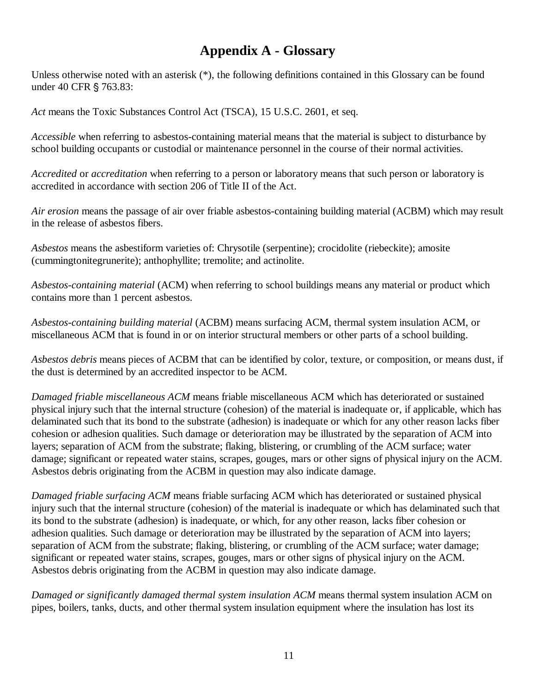## **Appendix A - Glossary**

Unless otherwise noted with an asterisk (\*), the following definitions contained in this Glossary can be found under 40 CFR § 763.83:

*Act* means the Toxic Substances Control Act (TSCA), 15 U.S.C. 2601, et seq.

*Accessible* when referring to asbestos-containing material means that the material is subject to disturbance by school building occupants or custodial or maintenance personnel in the course of their normal activities.

*Accredited* or *accreditation* when referring to a person or laboratory means that such person or laboratory is accredited in accordance with section 206 of Title II of the Act.

*Air erosion* means the passage of air over friable asbestos-containing building material (ACBM) which may result in the release of asbestos fibers.

*Asbestos* means the asbestiform varieties of: Chrysotile (serpentine); crocidolite (riebeckite); amosite (cummingtonitegrunerite); anthophyllite; tremolite; and actinolite.

*Asbestos-containing material* (ACM) when referring to school buildings means any material or product which contains more than 1 percent asbestos.

*Asbestos-containing building material* (ACBM) means surfacing ACM, thermal system insulation ACM, or miscellaneous ACM that is found in or on interior structural members or other parts of a school building.

*Asbestos debris* means pieces of ACBM that can be identified by color, texture, or composition, or means dust, if the dust is determined by an accredited inspector to be ACM.

*Damaged friable miscellaneous ACM* means friable miscellaneous ACM which has deteriorated or sustained physical injury such that the internal structure (cohesion) of the material is inadequate or, if applicable, which has delaminated such that its bond to the substrate (adhesion) is inadequate or which for any other reason lacks fiber cohesion or adhesion qualities. Such damage or deterioration may be illustrated by the separation of ACM into layers; separation of ACM from the substrate; flaking, blistering, or crumbling of the ACM surface; water damage; significant or repeated water stains, scrapes, gouges, mars or other signs of physical injury on the ACM. Asbestos debris originating from the ACBM in question may also indicate damage.

*Damaged friable surfacing ACM* means friable surfacing ACM which has deteriorated or sustained physical injury such that the internal structure (cohesion) of the material is inadequate or which has delaminated such that its bond to the substrate (adhesion) is inadequate, or which, for any other reason, lacks fiber cohesion or adhesion qualities. Such damage or deterioration may be illustrated by the separation of ACM into layers; separation of ACM from the substrate; flaking, blistering, or crumbling of the ACM surface; water damage; significant or repeated water stains, scrapes, gouges, mars or other signs of physical injury on the ACM. Asbestos debris originating from the ACBM in question may also indicate damage.

*Damaged or significantly damaged thermal system insulation ACM* means thermal system insulation ACM on pipes, boilers, tanks, ducts, and other thermal system insulation equipment where the insulation has lost its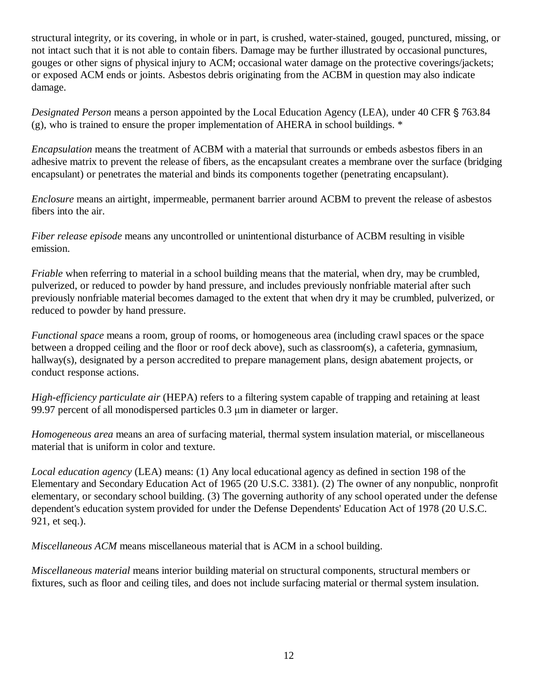structural integrity, or its covering, in whole or in part, is crushed, water-stained, gouged, punctured, missing, or not intact such that it is not able to contain fibers. Damage may be further illustrated by occasional punctures, gouges or other signs of physical injury to ACM; occasional water damage on the protective coverings/jackets; or exposed ACM ends or joints. Asbestos debris originating from the ACBM in question may also indicate damage.

*Designated Person* means a person appointed by the Local Education Agency (LEA), under 40 CFR § 763.84 (g), who is trained to ensure the proper implementation of AHERA in school buildings. \*

*Encapsulation* means the treatment of ACBM with a material that surrounds or embeds asbestos fibers in an adhesive matrix to prevent the release of fibers, as the encapsulant creates a membrane over the surface (bridging encapsulant) or penetrates the material and binds its components together (penetrating encapsulant).

*Enclosure* means an airtight, impermeable, permanent barrier around ACBM to prevent the release of asbestos fibers into the air.

*Fiber release episode* means any uncontrolled or unintentional disturbance of ACBM resulting in visible emission.

*Friable* when referring to material in a school building means that the material, when dry, may be crumbled, pulverized, or reduced to powder by hand pressure, and includes previously nonfriable material after such previously nonfriable material becomes damaged to the extent that when dry it may be crumbled, pulverized, or reduced to powder by hand pressure.

*Functional space* means a room, group of rooms, or homogeneous area (including crawl spaces or the space between a dropped ceiling and the floor or roof deck above), such as classroom(s), a cafeteria, gymnasium, hallway(s), designated by a person accredited to prepare management plans, design abatement projects, or conduct response actions.

*High-efficiency particulate air* (HEPA) refers to a filtering system capable of trapping and retaining at least 99.97 percent of all monodispersed particles 0.3 µm in diameter or larger.

*Homogeneous area* means an area of surfacing material, thermal system insulation material, or miscellaneous material that is uniform in color and texture.

*Local education agency* (LEA) means: (1) Any local educational agency as defined in section 198 of the Elementary and Secondary Education Act of 1965 (20 U.S.C. 3381). (2) The owner of any nonpublic, nonprofit elementary, or secondary school building. (3) The governing authority of any school operated under the defense dependent's education system provided for under the Defense Dependents' Education Act of 1978 (20 U.S.C. 921, et seq.).

*Miscellaneous ACM* means miscellaneous material that is ACM in a school building.

*Miscellaneous material* means interior building material on structural components, structural members or fixtures, such as floor and ceiling tiles, and does not include surfacing material or thermal system insulation.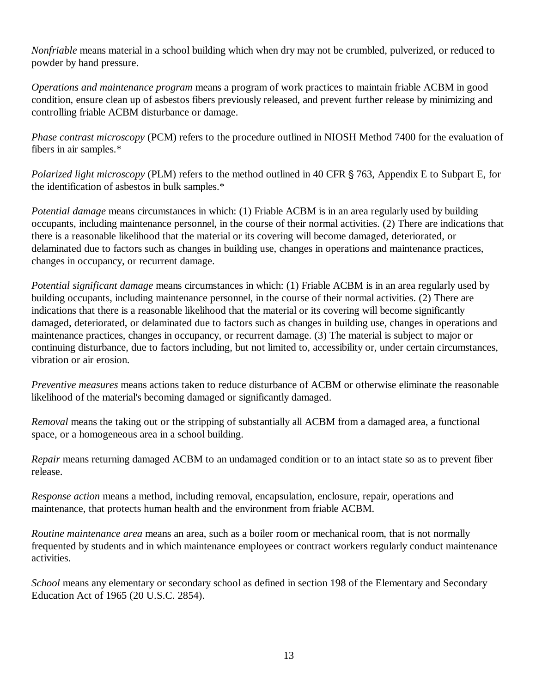*Nonfriable* means material in a school building which when dry may not be crumbled, pulverized, or reduced to powder by hand pressure.

*Operations and maintenance program* means a program of work practices to maintain friable ACBM in good condition, ensure clean up of asbestos fibers previously released, and prevent further release by minimizing and controlling friable ACBM disturbance or damage.

*Phase contrast microscopy* (PCM) refers to the procedure outlined in NIOSH Method 7400 for the evaluation of fibers in air samples.\*

*Polarized light microscopy* (PLM) refers to the method outlined in 40 CFR § 763, Appendix E to Subpart E, for the identification of asbestos in bulk samples.\*

*Potential damage* means circumstances in which: (1) Friable ACBM is in an area regularly used by building occupants, including maintenance personnel, in the course of their normal activities. (2) There are indications that there is a reasonable likelihood that the material or its covering will become damaged, deteriorated, or delaminated due to factors such as changes in building use, changes in operations and maintenance practices, changes in occupancy, or recurrent damage.

*Potential significant damage* means circumstances in which: (1) Friable ACBM is in an area regularly used by building occupants, including maintenance personnel, in the course of their normal activities. (2) There are indications that there is a reasonable likelihood that the material or its covering will become significantly damaged, deteriorated, or delaminated due to factors such as changes in building use, changes in operations and maintenance practices, changes in occupancy, or recurrent damage. (3) The material is subject to major or continuing disturbance, due to factors including, but not limited to, accessibility or, under certain circumstances, vibration or air erosion.

*Preventive measures* means actions taken to reduce disturbance of ACBM or otherwise eliminate the reasonable likelihood of the material's becoming damaged or significantly damaged.

*Removal* means the taking out or the stripping of substantially all ACBM from a damaged area, a functional space, or a homogeneous area in a school building.

*Repair* means returning damaged ACBM to an undamaged condition or to an intact state so as to prevent fiber release.

*Response action* means a method, including removal, encapsulation, enclosure, repair, operations and maintenance, that protects human health and the environment from friable ACBM.

*Routine maintenance area* means an area, such as a boiler room or mechanical room, that is not normally frequented by students and in which maintenance employees or contract workers regularly conduct maintenance activities.

*School* means any elementary or secondary school as defined in section 198 of the Elementary and Secondary Education Act of 1965 (20 U.S.C. 2854).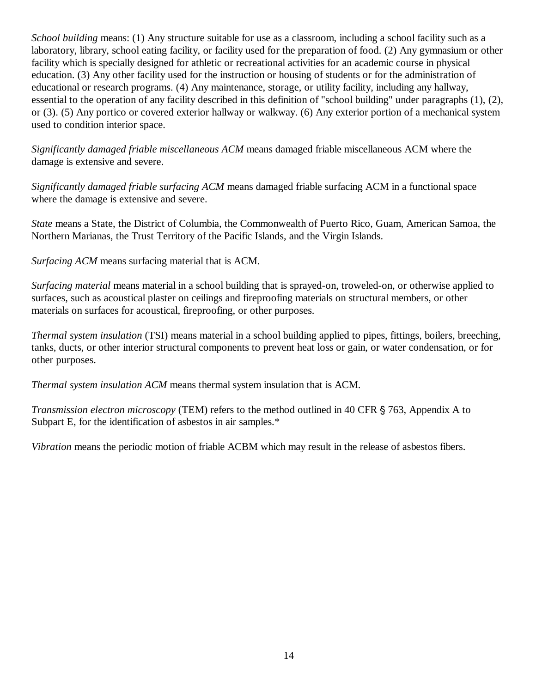*School building* means: (1) Any structure suitable for use as a classroom, including a school facility such as a laboratory, library, school eating facility, or facility used for the preparation of food. (2) Any gymnasium or other facility which is specially designed for athletic or recreational activities for an academic course in physical education. (3) Any other facility used for the instruction or housing of students or for the administration of educational or research programs. (4) Any maintenance, storage, or utility facility, including any hallway, essential to the operation of any facility described in this definition of "school building" under paragraphs (1), (2), or (3). (5) Any portico or covered exterior hallway or walkway. (6) Any exterior portion of a mechanical system used to condition interior space.

*Significantly damaged friable miscellaneous ACM* means damaged friable miscellaneous ACM where the damage is extensive and severe.

*Significantly damaged friable surfacing ACM* means damaged friable surfacing ACM in a functional space where the damage is extensive and severe.

*State* means a State, the District of Columbia, the Commonwealth of Puerto Rico, Guam, American Samoa, the Northern Marianas, the Trust Territory of the Pacific Islands, and the Virgin Islands.

*Surfacing ACM* means surfacing material that is ACM.

*Surfacing material* means material in a school building that is sprayed-on, troweled-on, or otherwise applied to surfaces, such as acoustical plaster on ceilings and fireproofing materials on structural members, or other materials on surfaces for acoustical, fireproofing, or other purposes.

*Thermal system insulation* (TSI) means material in a school building applied to pipes, fittings, boilers, breeching, tanks, ducts, or other interior structural components to prevent heat loss or gain, or water condensation, or for other purposes.

*Thermal system insulation ACM* means thermal system insulation that is ACM.

*Transmission electron microscopy* (TEM) refers to the method outlined in 40 CFR § 763, Appendix A to Subpart E, for the identification of asbestos in air samples.\*

*Vibration* means the periodic motion of friable ACBM which may result in the release of asbestos fibers.